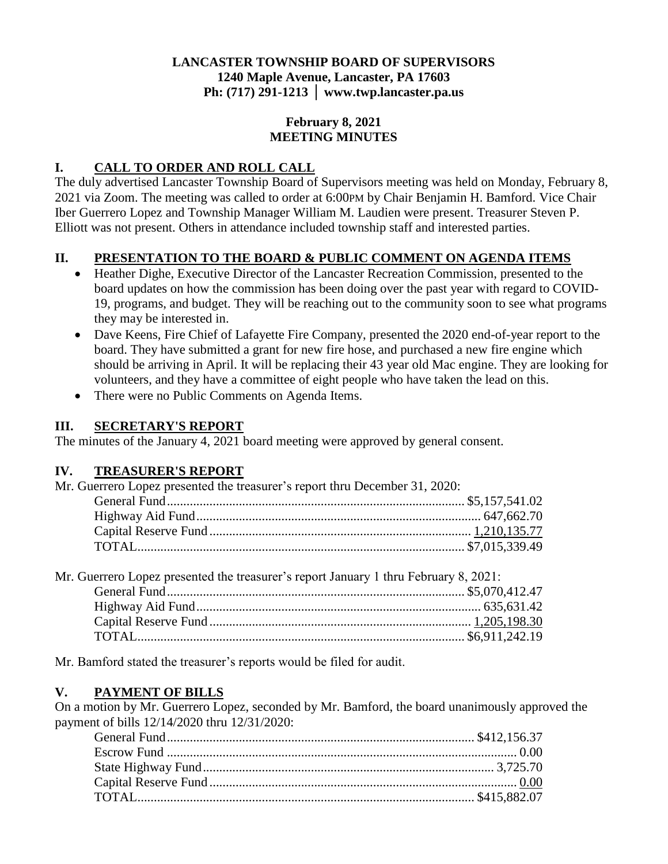## **LANCASTER TOWNSHIP BOARD OF SUPERVISORS 1240 Maple Avenue, Lancaster, PA 17603 Ph: (717) 291-1213 │ www.twp.lancaster.pa.us**

#### **February 8, 2021 MEETING MINUTES**

# **I. CALL TO ORDER AND ROLL CALL**

The duly advertised Lancaster Township Board of Supervisors meeting was held on Monday, February 8, 2021 via Zoom. The meeting was called to order at 6:00PM by Chair Benjamin H. Bamford. Vice Chair Iber Guerrero Lopez and Township Manager William M. Laudien were present. Treasurer Steven P. Elliott was not present. Others in attendance included township staff and interested parties.

## **II. PRESENTATION TO THE BOARD & PUBLIC COMMENT ON AGENDA ITEMS**

- Heather Dighe, Executive Director of the Lancaster Recreation Commission, presented to the board updates on how the commission has been doing over the past year with regard to COVID-19, programs, and budget. They will be reaching out to the community soon to see what programs they may be interested in.
- Dave Keens, Fire Chief of Lafayette Fire Company, presented the 2020 end-of-year report to the board. They have submitted a grant for new fire hose, and purchased a new fire engine which should be arriving in April. It will be replacing their 43 year old Mac engine. They are looking for volunteers, and they have a committee of eight people who have taken the lead on this.
- There were no Public Comments on Agenda Items.

## **III. SECRETARY'S REPORT**

The minutes of the January 4, 2021 board meeting were approved by general consent.

## **IV. TREASURER'S REPORT**

Mr. Guerrero Lopez presented the treasurer's report thru December 31, 2020: General Fund........................................................................................... \$5,157,541.02

| Mr. Guerrero Lopez presented the treasurer's report January 1 thru February 8, 2021: |  |
|--------------------------------------------------------------------------------------|--|
|                                                                                      |  |
|                                                                                      |  |
|                                                                                      |  |
|                                                                                      |  |
|                                                                                      |  |

Mr. Bamford stated the treasurer's reports would be filed for audit.

## **V. PAYMENT OF BILLS**

On a motion by Mr. Guerrero Lopez, seconded by Mr. Bamford, the board unanimously approved the payment of bills 12/14/2020 thru 12/31/2020: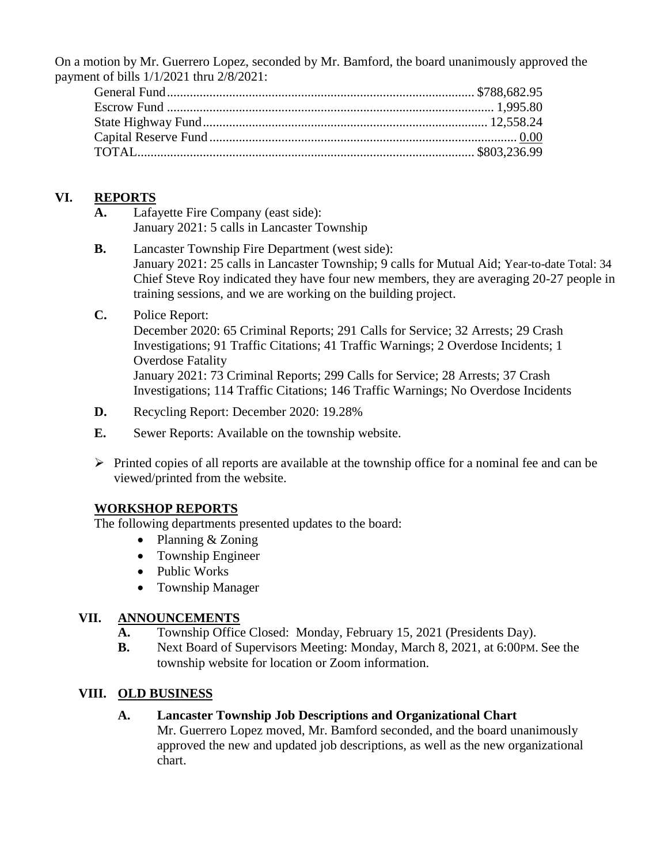On a motion by Mr. Guerrero Lopez, seconded by Mr. Bamford, the board unanimously approved the payment of bills 1/1/2021 thru 2/8/2021:

## **VI. REPORTS**

- **A.** Lafayette Fire Company (east side): January 2021: 5 calls in Lancaster Township
- **B.** Lancaster Township Fire Department (west side): January 2021: 25 calls in Lancaster Township; 9 calls for Mutual Aid; Year-to-date Total: 34 Chief Steve Roy indicated they have four new members, they are averaging 20-27 people in training sessions, and we are working on the building project.

## **C.** Police Report:

December 2020: 65 Criminal Reports; 291 Calls for Service; 32 Arrests; 29 Crash Investigations; 91 Traffic Citations; 41 Traffic Warnings; 2 Overdose Incidents; 1 Overdose Fatality January 2021: 73 Criminal Reports; 299 Calls for Service; 28 Arrests; 37 Crash Investigations; 114 Traffic Citations; 146 Traffic Warnings; No Overdose Incidents

- **D.** Recycling Report: December 2020: 19.28%
- **E.** Sewer Reports: Available on the township website.
- $\triangleright$  Printed copies of all reports are available at the township office for a nominal fee and can be viewed/printed from the website.

## **WORKSHOP REPORTS**

The following departments presented updates to the board:

- Planning & Zoning
- Township Engineer
- Public Works
- Township Manager

#### **VII. ANNOUNCEMENTS**

- **A.** Township Office Closed: Monday, February 15, 2021 (Presidents Day).
- **B.** Next Board of Supervisors Meeting: Monday, March 8, 2021, at 6:00PM. See the township website for location or Zoom information.

## **VIII. OLD BUSINESS**

#### **A. Lancaster Township Job Descriptions and Organizational Chart**

Mr. Guerrero Lopez moved, Mr. Bamford seconded, and the board unanimously approved the new and updated job descriptions, as well as the new organizational chart.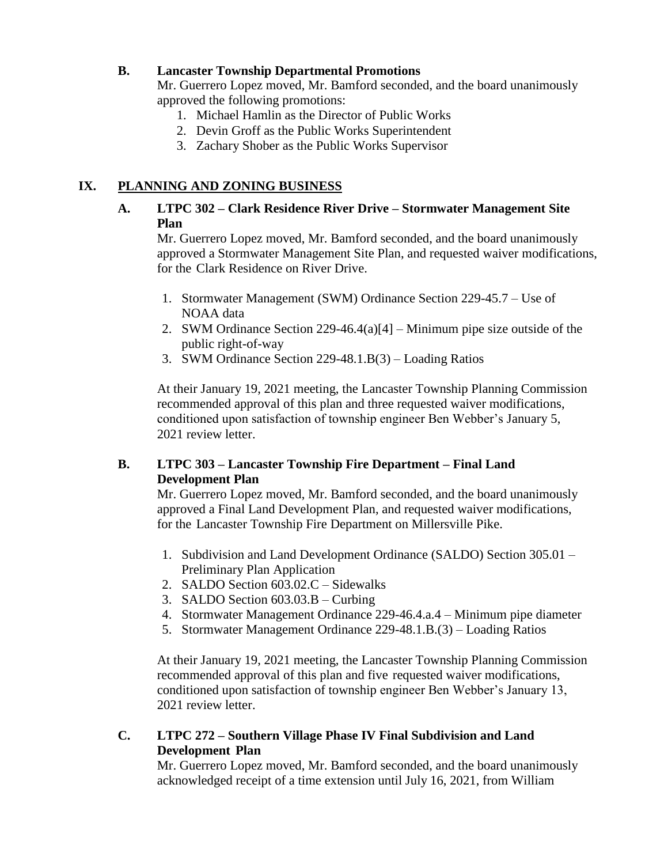#### **B. Lancaster Township Departmental Promotions**

Mr. Guerrero Lopez moved, Mr. Bamford seconded, and the board unanimously approved the following promotions:

- 1. Michael Hamlin as the Director of Public Works
- 2. Devin Groff as the Public Works Superintendent
- 3. Zachary Shober as the Public Works Supervisor

## **IX. PLANNING AND ZONING BUSINESS**

#### **A. LTPC 302 – Clark Residence River Drive – Stormwater Management Site Plan**

Mr. Guerrero Lopez moved, Mr. Bamford seconded, and the board unanimously approved a Stormwater Management Site Plan, and requested waiver modifications, for the Clark Residence on River Drive.

- 1. Stormwater Management (SWM) Ordinance Section 229-45.7 Use of NOAA data
- 2. SWM Ordinance Section 229-46.4(a)[4] Minimum pipe size outside of the public right-of-way
- 3. SWM Ordinance Section 229-48.1.B(3) Loading Ratios

At their January 19, 2021 meeting, the Lancaster Township Planning Commission recommended approval of this plan and three requested waiver modifications, conditioned upon satisfaction of township engineer Ben Webber's January 5, 2021 review letter.

## **B. LTPC 303 – Lancaster Township Fire Department – Final Land Development Plan**

Mr. Guerrero Lopez moved, Mr. Bamford seconded, and the board unanimously approved a Final Land Development Plan, and requested waiver modifications, for the Lancaster Township Fire Department on Millersville Pike.

- 1. Subdivision and Land Development Ordinance (SALDO) Section 305.01 Preliminary Plan Application
- 2. SALDO Section 603.02.C Sidewalks
- 3. SALDO Section 603.03.B Curbing
- 4. Stormwater Management Ordinance 229-46.4.a.4 Minimum pipe diameter
- 5. Stormwater Management Ordinance 229-48.1.B.(3) Loading Ratios

At their January 19, 2021 meeting, the Lancaster Township Planning Commission recommended approval of this plan and five requested waiver modifications, conditioned upon satisfaction of township engineer Ben Webber's January 13, 2021 review letter.

## **C. LTPC 272 – Southern Village Phase IV Final Subdivision and Land Development Plan**

Mr. Guerrero Lopez moved, Mr. Bamford seconded, and the board unanimously acknowledged receipt of a time extension until July 16, 2021, from William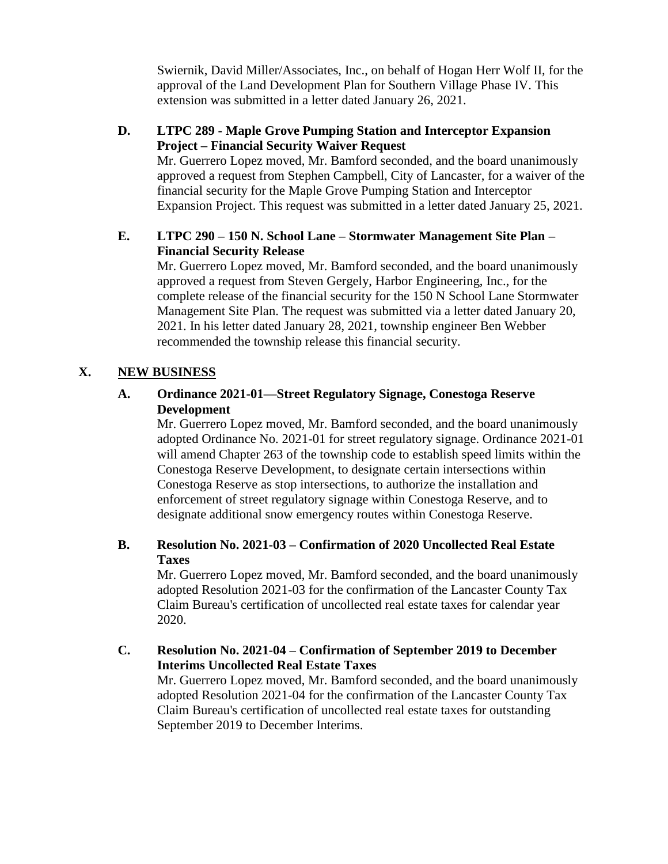Swiernik, David Miller/Associates, Inc., on behalf of Hogan Herr Wolf II, for the approval of the Land Development Plan for Southern Village Phase IV. This extension was submitted in a letter dated January 26, 2021.

## **D. LTPC 289 - Maple Grove Pumping Station and Interceptor Expansion Project – Financial Security Waiver Request**

Mr. Guerrero Lopez moved, Mr. Bamford seconded, and the board unanimously approved a request from Stephen Campbell, City of Lancaster, for a waiver of the financial security for the Maple Grove Pumping Station and Interceptor Expansion Project. This request was submitted in a letter dated January 25, 2021.

## **E. LTPC 290 – 150 N. School Lane – Stormwater Management Site Plan – Financial Security Release**

Mr. Guerrero Lopez moved, Mr. Bamford seconded, and the board unanimously approved a request from Steven Gergely, Harbor Engineering, Inc., for the complete release of the financial security for the 150 N School Lane Stormwater Management Site Plan. The request was submitted via a letter dated January 20, 2021. In his letter dated January 28, 2021, township engineer Ben Webber recommended the township release this financial security.

## **X. NEW BUSINESS**

## **A. Ordinance 2021-01—Street Regulatory Signage, Conestoga Reserve Development**

Mr. Guerrero Lopez moved, Mr. Bamford seconded, and the board unanimously adopted Ordinance No. 2021-01 for street regulatory signage. Ordinance 2021-01 will amend Chapter 263 of the township code to establish speed limits within the Conestoga Reserve Development, to designate certain intersections within Conestoga Reserve as stop intersections, to authorize the installation and enforcement of street regulatory signage within Conestoga Reserve, and to designate additional snow emergency routes within Conestoga Reserve.

## **B. Resolution No. 2021-03 – Confirmation of 2020 Uncollected Real Estate Taxes**

Mr. Guerrero Lopez moved, Mr. Bamford seconded, and the board unanimously adopted Resolution 2021-03 for the confirmation of the Lancaster County Tax Claim Bureau's certification of uncollected real estate taxes for calendar year 2020.

**C. Resolution No. 2021-04 – Confirmation of September 2019 to December Interims Uncollected Real Estate Taxes**

Mr. Guerrero Lopez moved, Mr. Bamford seconded, and the board unanimously adopted Resolution 2021-04 for the confirmation of the Lancaster County Tax Claim Bureau's certification of uncollected real estate taxes for outstanding September 2019 to December Interims.